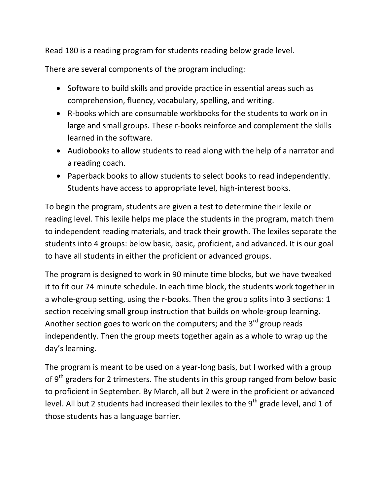Read 180 is a reading program for students reading below grade level.

There are several components of the program including:

- Software to build skills and provide practice in essential areas such as comprehension, fluency, vocabulary, spelling, and writing.
- R-books which are consumable workbooks for the students to work on in large and small groups. These r-books reinforce and complement the skills learned in the software.
- Audiobooks to allow students to read along with the help of a narrator and a reading coach.
- Paperback books to allow students to select books to read independently. Students have access to appropriate level, high-interest books.

To begin the program, students are given a test to determine their lexile or reading level. This lexile helps me place the students in the program, match them to independent reading materials, and track their growth. The lexiles separate the students into 4 groups: below basic, basic, proficient, and advanced. It is our goal to have all students in either the proficient or advanced groups.

The program is designed to work in 90 minute time blocks, but we have tweaked it to fit our 74 minute schedule. In each time block, the students work together in a whole-group setting, using the r-books. Then the group splits into 3 sections: 1 section receiving small group instruction that builds on whole-group learning. Another section goes to work on the computers; and the  $3<sup>rd</sup>$  group reads independently. Then the group meets together again as a whole to wrap up the day's learning.

The program is meant to be used on a year-long basis, but I worked with a group of  $9<sup>th</sup>$  graders for 2 trimesters. The students in this group ranged from below basic to proficient in September. By March, all but 2 were in the proficient or advanced level. All but 2 students had increased their lexiles to the  $9<sup>th</sup>$  grade level, and 1 of those students has a language barrier.